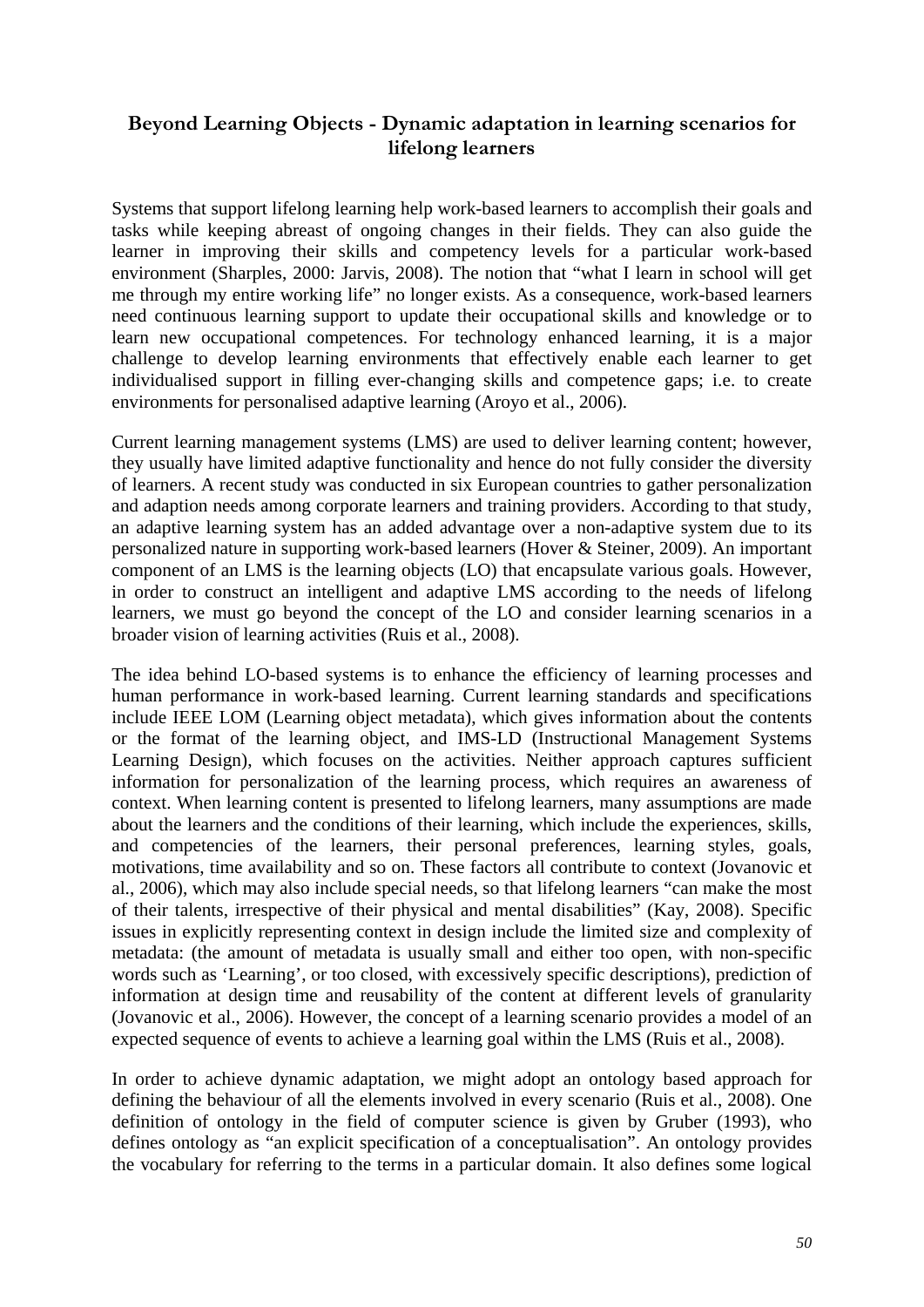# **Beyond Learning Objects - Dynamic adaptation in learning scenarios for lifelong learners**

Systems that support lifelong learning help work-based learners to accomplish their goals and tasks while keeping abreast of ongoing changes in their fields. They can also guide the learner in improving their skills and competency levels for a particular work-based environment (Sharples, 2000: Jarvis, 2008). The notion that "what I learn in school will get me through my entire working life" no longer exists. As a consequence, work-based learners need continuous learning support to update their occupational skills and knowledge or to learn new occupational competences. For technology enhanced learning, it is a major challenge to develop learning environments that effectively enable each learner to get individualised support in filling ever-changing skills and competence gaps; i.e. to create environments for personalised adaptive learning (Aroyo et al., 2006).

Current learning management systems (LMS) are used to deliver learning content; however, they usually have limited adaptive functionality and hence do not fully consider the diversity of learners. A recent study was conducted in six European countries to gather personalization and adaption needs among corporate learners and training providers. According to that study, an adaptive learning system has an added advantage over a non-adaptive system due to its personalized nature in supporting work-based learners (Hover & Steiner, 2009). An important component of an LMS is the learning objects (LO) that encapsulate various goals. However, in order to construct an intelligent and adaptive LMS according to the needs of lifelong learners, we must go beyond the concept of the LO and consider learning scenarios in a broader vision of learning activities (Ruis et al., 2008).

The idea behind LO-based systems is to enhance the efficiency of learning processes and human performance in work-based learning. Current learning standards and specifications include IEEE LOM (Learning object metadata), which gives information about the contents or the format of the learning object, and IMS-LD (Instructional Management Systems Learning Design), which focuses on the activities. Neither approach captures sufficient information for personalization of the learning process, which requires an awareness of context. When learning content is presented to lifelong learners, many assumptions are made about the learners and the conditions of their learning, which include the experiences, skills, and competencies of the learners, their personal preferences, learning styles, goals, motivations, time availability and so on. These factors all contribute to context (Jovanovic et al., 2006), which may also include special needs, so that lifelong learners "can make the most of their talents, irrespective of their physical and mental disabilities" (Kay, 2008). Specific issues in explicitly representing context in design include the limited size and complexity of metadata: (the amount of metadata is usually small and either too open, with non-specific words such as 'Learning', or too closed, with excessively specific descriptions), prediction of information at design time and reusability of the content at different levels of granularity (Jovanovic et al., 2006). However, the concept of a learning scenario provides a model of an expected sequence of events to achieve a learning goal within the LMS (Ruis et al., 2008).

In order to achieve dynamic adaptation, we might adopt an ontology based approach for defining the behaviour of all the elements involved in every scenario (Ruis et al., 2008). One definition of ontology in the field of computer science is given by Gruber (1993), who defines ontology as "an explicit specification of a conceptualisation". An ontology provides the vocabulary for referring to the terms in a particular domain. It also defines some logical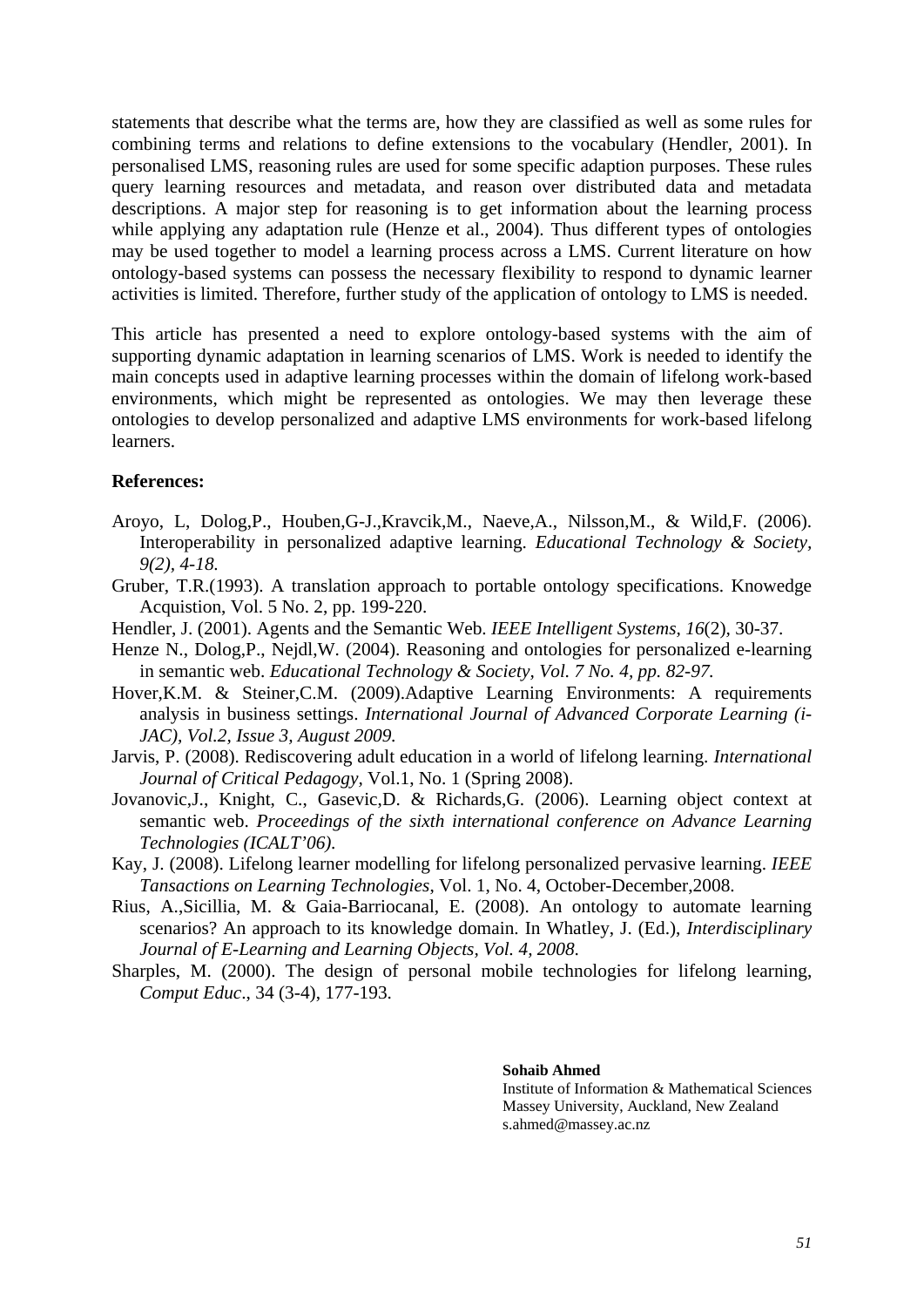statements that describe what the terms are, how they are classified as well as some rules for combining terms and relations to define extensions to the vocabulary (Hendler, 2001). In personalised LMS, reasoning rules are used for some specific adaption purposes. These rules query learning resources and metadata, and reason over distributed data and metadata descriptions. A major step for reasoning is to get information about the learning process while applying any adaptation rule (Henze et al., 2004). Thus different types of ontologies may be used together to model a learning process across a LMS. Current literature on how ontology-based systems can possess the necessary flexibility to respond to dynamic learner activities is limited. Therefore, further study of the application of ontology to LMS is needed.

This article has presented a need to explore ontology-based systems with the aim of supporting dynamic adaptation in learning scenarios of LMS. Work is needed to identify the main concepts used in adaptive learning processes within the domain of lifelong work-based environments, which might be represented as ontologies. We may then leverage these ontologies to develop personalized and adaptive LMS environments for work-based lifelong learners.

## **References:**

- Aroyo, L, Dolog,P., Houben,G-J.,Kravcik,M., Naeve,A., Nilsson,M., & Wild,F. (2006). Interoperability in personalized adaptive learning. *Educational Technology & Society, 9(2), 4-18.*
- Gruber, T.R.(1993). A translation approach to portable ontology specifications. Knowedge Acquistion, Vol. 5 No. 2, pp. 199-220.
- Hendler, J. (2001). Agents and the Semantic Web. *IEEE Intelligent Systems, 16*(2)*,* 30-37.
- Henze N., Dolog,P., Nejdl,W. (2004). Reasoning and ontologies for personalized e-learning in semantic web. *Educational Technology & Society, Vol. 7 No. 4, pp. 82-97.*
- Hover,K.M. & Steiner,C.M. (2009).Adaptive Learning Environments: A requirements analysis in business settings. *International Journal of Advanced Corporate Learning (i-JAC), Vol.2, Issue 3, August 2009.*
- Jarvis, P. (2008). Rediscovering adult education in a world of lifelong learning. *International Journal of Critical Pedagogy,* Vol.1, No. 1 (Spring 2008).
- Jovanovic,J., Knight, C., Gasevic,D. & Richards,G. (2006). Learning object context at semantic web. *Proceedings of the sixth international conference on Advance Learning Technologies (ICALT'06).*
- Kay, J. (2008). Lifelong learner modelling for lifelong personalized pervasive learning. *IEEE Tansactions on Learning Technologies*, Vol. 1, No. 4, October-December,2008.
- Rius, A.,Sicillia, M. & Gaia-Barriocanal, E. (2008). An ontology to automate learning scenarios? An approach to its knowledge domain. In Whatley, J. (Ed.), *Interdisciplinary Journal of E-Learning and Learning Objects, Vol. 4, 2008*.
- Sharples, M. (2000). The design of personal mobile technologies for lifelong learning, *Comput Educ*., 34 (3-4), 177-193.

#### **Sohaib Ahmed**

Institute of Information & Mathematical Sciences Massey University, Auckland, New Zealand s.ahmed@massey.ac.nz